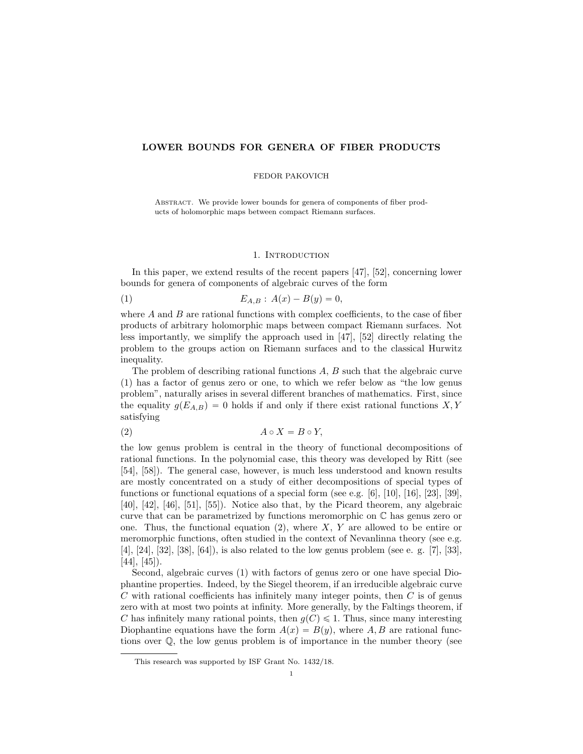# LOWER BOUNDS FOR GENERA OF FIBER PRODUCTS

## FEDOR PAKOVICH

Abstract. We provide lower bounds for genera of components of fiber products of holomorphic maps between compact Riemann surfaces.

### 1. INTRODUCTION

In this paper, we extend results of the recent papers [47], [52], concerning lower bounds for genera of components of algebraic curves of the form

(1) 
$$
E_{A,B}: A(x) - B(y) = 0,
$$

where  $A$  and  $B$  are rational functions with complex coefficients, to the case of fiber products of arbitrary holomorphic maps between compact Riemann surfaces. Not less importantly, we simplify the approach used in [47], [52] directly relating the problem to the groups action on Riemann surfaces and to the classical Hurwitz inequality.

The problem of describing rational functions A, B such that the algebraic curve (1) has a factor of genus zero or one, to which we refer below as "the low genus problem", naturally arises in several different branches of mathematics. First, since the equality  $g(E_{A,B})=0$  holds if and only if there exist rational functions X, Y satisfying

$$
(2) \t\t A \circ X = B \circ Y,
$$

the low genus problem is central in the theory of functional decompositions of rational functions. In the polynomial case, this theory was developed by Ritt (see [54], [58]). The general case, however, is much less understood and known results are mostly concentrated on a study of either decompositions of special types of functions or functional equations of a special form (see e.g.  $[6]$ ,  $[10]$ ,  $[16]$ ,  $[23]$ ,  $[39]$ , [40], [42], [46], [51], [55]). Notice also that, by the Picard theorem, any algebraic curve that can be parametrized by functions meromorphic on C has genus zero or one. Thus, the functional equation  $(2)$ , where X, Y are allowed to be entire or meromorphic functions, often studied in the context of Nevanlinna theory (see e.g. [4], [24], [32], [38], [64]), is also related to the low genus problem (see e. g. [7], [33],  $[44]$ ,  $[45]$ ).

Second, algebraic curves (1) with factors of genus zero or one have special Diophantine properties. Indeed, by the Siegel theorem, if an irreducible algebraic curve  $C$  with rational coefficients has infinitely many integer points, then  $C$  is of genus zero with at most two points at infinity. More generally, by the Faltings theorem, if C has infinitely many rational points, then  $g(C) \leq 1$ . Thus, since many interesting Diophantine equations have the form  $A(x) = B(y)$ , where A, B are rational functions over Q, the low genus problem is of importance in the number theory (see

This research was supported by ISF Grant No. 1432/18.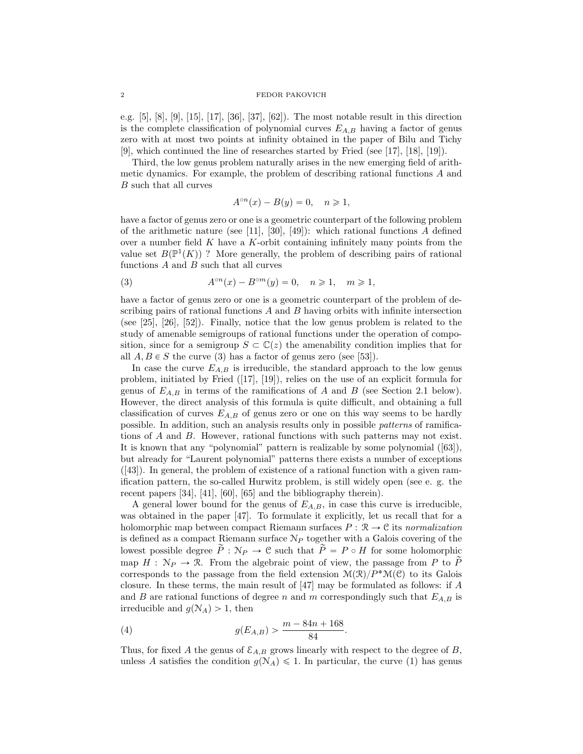e.g. [5], [8], [9], [15], [17], [36], [37], [62]). The most notable result in this direction is the complete classification of polynomial curves  $E_{A,B}$  having a factor of genus zero with at most two points at infinity obtained in the paper of Bilu and Tichy [9], which continued the line of researches started by Fried (see [17], [18], [19]).

Third, the low genus problem naturally arises in the new emerging field of arithmetic dynamics. For example, the problem of describing rational functions A and B such that all curves

$$
A^{\circ n}(x) - B(y) = 0, \quad n \ge 1,
$$

have a factor of genus zero or one is a geometric counterpart of the following problem of the arithmetic nature (see [11], [30], [49]): which rational functions  $A$  defined over a number field  $K$  have a  $K$ -orbit containing infinitely many points from the value set  $B(\mathbb{P}^1(K))$  ? More generally, the problem of describing pairs of rational functions  $A$  and  $B$  such that all curves

(3) 
$$
A^{\circ n}(x) - B^{\circ m}(y) = 0, \quad n \ge 1, \quad m \ge 1,
$$

have a factor of genus zero or one is a geometric counterpart of the problem of describing pairs of rational functions  $A$  and  $B$  having orbits with infinite intersection (see [25], [26], [52]). Finally, notice that the low genus problem is related to the study of amenable semigroups of rational functions under the operation of composition, since for a semigroup  $S \subset \mathbb{C}(z)$  the amenability condition implies that for all  $A, B \in S$  the curve (3) has a factor of genus zero (see [53]).

In case the curve  $E_{A,B}$  is irreducible, the standard approach to the low genus problem, initiated by Fried ([17], [19]), relies on the use of an explicit formula for genus of  $E_{A,B}$  in terms of the ramifications of A and B (see Section 2.1 below). However, the direct analysis of this formula is quite difficult, and obtaining a full classification of curves  $E_{A,B}$  of genus zero or one on this way seems to be hardly possible. In addition, such an analysis results only in possible patterns of ramifications of A and B. However, rational functions with such patterns may not exist. It is known that any "polynomial" pattern is realizable by some polynomial ([63]), but already for "Laurent polynomial" patterns there exists a number of exceptions ([43]). In general, the problem of existence of a rational function with a given ramification pattern, the so-called Hurwitz problem, is still widely open (see e. g. the recent papers [34], [41], [60], [65] and the bibliography therein).

A general lower bound for the genus of  $E_{A,B}$ , in case this curve is irreducible, was obtained in the paper [47]. To formulate it explicitly, let us recall that for a holomorphic map between compact Riemann surfaces  $P : \mathcal{R} \to \mathcal{C}$  its normalization is defined as a compact Riemann surface  $N_P$  together with a Galois covering of the lowest possible degree  $\widetilde{P}: \mathcal{N}_P \to \mathcal{C}$  such that  $\widetilde{P}=P \circ H$  for some holomorphic map  $H : N_P \to \mathcal{R}$ . From the algebraic point of view, the passage from P to  $\widetilde{P}$ corresponds to the passage from the field extension  $\mathcal{M}(\mathcal{R})/P^*\mathcal{M}(\mathcal{C})$  to its Galois closure. In these terms, the main result of [47] may be formulated as follows: if A and B are rational functions of degree n and m correspondingly such that  $E_{A,B}$  is irreducible and  $g(N_A) > 1$ , then

(4) 
$$
g(E_{A,B}) > \frac{m - 84n + 168}{84}.
$$

Thus, for fixed A the genus of  $\mathcal{E}_{A,B}$  grows linearly with respect to the degree of B, unless A satisfies the condition  $g(N_A) \leq 1$ . In particular, the curve (1) has genus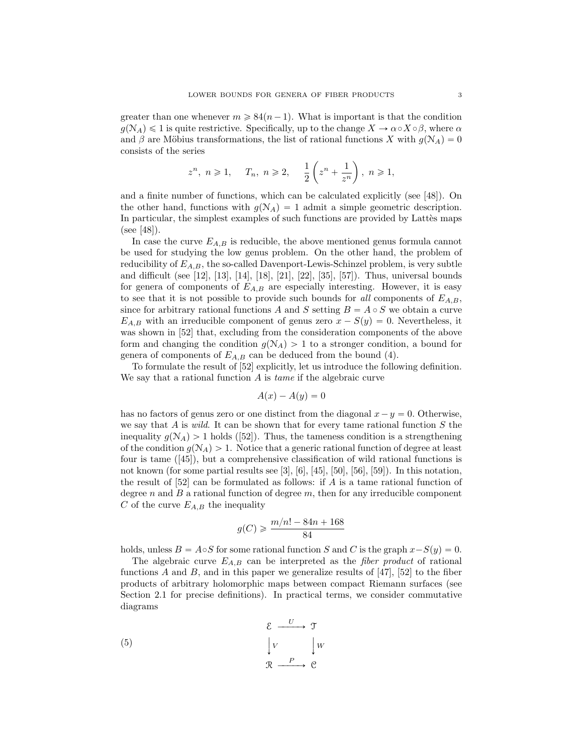greater than one whenever  $m \geq 84(n-1)$ . What is important is that the condition  $g(\mathcal{N}_A) \leq 1$  is quite restrictive. Specifically, up to the change  $X \to \alpha \circ X \circ \beta$ , where  $\alpha$ and  $\beta$  are Möbius transformations, the list of rational functions X with  $g(N_A) = 0$ consists of the series

$$
z^n,\ n\geqslant 1,\quad \ T_n,\ n\geqslant 2,\quad \ \frac{1}{2}\left(z^n+\frac{1}{z^n}\right),\ n\geqslant 1,
$$

and a finite number of functions, which can be calculated explicitly (see [48]). On the other hand, functions with  $g(N_A) = 1$  admit a simple geometric description. In particular, the simplest examples of such functions are provided by Lattès maps (see [48]).

In case the curve  $E_{A,B}$  is reducible, the above mentioned genus formula cannot be used for studying the low genus problem. On the other hand, the problem of reducibility of  $E_{A,B}$ , the so-called Davenport-Lewis-Schinzel problem, is very subtle and difficult (see [12], [13], [14], [18], [21], [22], [35], [57]). Thus, universal bounds for genera of components of  $E_{A,B}$  are especially interesting. However, it is easy to see that it is not possible to provide such bounds for all components of  $E_{A,B}$ , since for arbitrary rational functions A and S setting  $B = A \circ S$  we obtain a curve  $E_{A,B}$  with an irreducible component of genus zero  $x - S(y) = 0$ . Nevertheless, it was shown in [52] that, excluding from the consideration components of the above form and changing the condition  $g(N_A) > 1$  to a stronger condition, a bound for genera of components of  $E_{A,B}$  can be deduced from the bound (4).

To formulate the result of [52] explicitly, let us introduce the following definition. We say that a rational function A is *tame* if the algebraic curve

$$
A(x) - A(y) = 0
$$

has no factors of genus zero or one distinct from the diagonal  $x - y = 0$ . Otherwise, we say that A is *wild*. It can be shown that for every tame rational function  $S$  the inequality  $g(N_A) > 1$  holds ([52]). Thus, the tameness condition is a strengthening of the condition  $g(\mathcal{N}_A) > 1$ . Notice that a generic rational function of degree at least four is tame ([45]), but a comprehensive classification of wild rational functions is not known (for some partial results see [3], [6], [45], [50], [56], [59]). In this notation, the result of  $[52]$  can be formulated as follows: if A is a tame rational function of degree n and  $B$  a rational function of degree  $m$ , then for any irreducible component C of the curve  $E_{A,B}$  the inequality

$$
g(C) \geqslant \frac{m/n! - 84n + 168}{84}
$$

holds, unless  $B = A \circ S$  for some rational function S and C is the graph  $x-S(y) = 0$ .

The algebraic curve  $E_{A,B}$  can be interpreted as the *fiber product* of rational functions A and B, and in this paper we generalize results of  $[47]$ ,  $[52]$  to the fiber products of arbitrary holomorphic maps between compact Riemann surfaces (see Section 2.1 for precise definitions). In practical terms, we consider commutative diagrams

$$
\begin{array}{ccc}\n\mathcal{E} & \xrightarrow{U} & \mathcal{T} \\
\downarrow V & \downarrow W \\
\mathcal{R} & \xrightarrow{P} & \mathcal{C}\n\end{array}
$$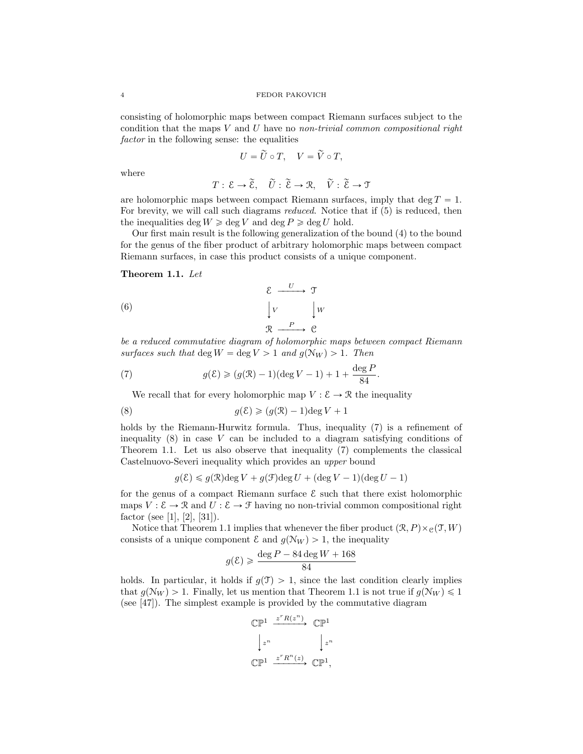consisting of holomorphic maps between compact Riemann surfaces subject to the condition that the maps V and U have no non-trivial common compositional right factor in the following sense: the equalities

$$
U=\widetilde{U}\circ T,\quad V=\widetilde{V}\circ T,
$$

where

$$
T: \mathcal{E} \to \widetilde{\mathcal{E}}, \quad \widetilde{U}: \widetilde{\mathcal{E}} \to \mathcal{R}, \quad \widetilde{V}: \widetilde{\mathcal{E}} \to \mathcal{T}
$$

are holomorphic maps between compact Riemann surfaces, imply that deg  $T = 1$ . For brevity, we will call such diagrams reduced. Notice that if (5) is reduced, then the inequalities deg  $W \ge \text{deg } V$  and  $\text{deg } P \ge \text{deg } U$  hold.

Our first main result is the following generalization of the bound (4) to the bound for the genus of the fiber product of arbitrary holomorphic maps between compact Riemann surfaces, in case this product consists of a unique component.

## Theorem 1.1. Let

$$
\begin{array}{ccc}\n\mathcal{E} & \xrightarrow{U} & \mathcal{T} \\
\downarrow V & \downarrow W \\
\mathcal{R} & \xrightarrow{P} & \mathcal{C}\n\end{array}
$$

be a reduced commutative diagram of holomorphic maps between compact Riemann surfaces such that deg  $W = \deg V > 1$  and  $g(N_W) > 1$ . Then

(7) 
$$
g(\mathcal{E}) \ge (g(\mathcal{R}) - 1)(\deg V - 1) + 1 + \frac{\deg P}{84}.
$$

We recall that for every holomorphic map  $V : \mathcal{E} \to \mathcal{R}$  the inequality

(8) 
$$
g(\mathcal{E}) \geq (g(\mathcal{R}) - 1) \deg V + 1
$$

holds by the Riemann-Hurwitz formula. Thus, inequality  $(7)$  is a refinement of inequality  $(8)$  in case V can be included to a diagram satisfying conditions of Theorem 1.1. Let us also observe that inequality (7) complements the classical Castelnuovo-Severi inequality which provides an upper bound

$$
g(\mathcal{E}) \leq g(\mathcal{R}) \deg V + g(\mathcal{F}) \deg U + (\deg V - 1)(\deg U - 1)
$$

for the genus of a compact Riemann surface  $\mathcal E$  such that there exist holomorphic maps  $V : \mathcal{E} \to \mathcal{R}$  and  $U : \mathcal{E} \to \mathcal{F}$  having no non-trivial common compositional right factor (see [1], [2], [31]).

Notice that Theorem 1.1 implies that whenever the fiber product  $(\mathcal{R}, P) \times_{\mathcal{C}} (\mathcal{T}, W)$ consists of a unique component  $\mathcal E$  and  $g(\mathcal N_W) > 1$ , the inequality

$$
g(\mathcal{E}) \geq \frac{\deg P - 84 \deg W + 168}{84}
$$

holds. In particular, it holds if  $g(T) > 1$ , since the last condition clearly implies that  $g(\mathcal{N}_W) > 1$ . Finally, let us mention that Theorem 1.1 is not true if  $g(\mathcal{N}_W) \leq 1$ (see [47]). The simplest example is provided by the commutative diagram

$$
\begin{array}{ccc}\n\mathbb{C}\mathbb{P}^1 & \xrightarrow{z^r R(z^n)} & \mathbb{C}\mathbb{P}^1 \\
& \downarrow z^n & & \downarrow z^n \\
\mathbb{C}\mathbb{P}^1 & \xrightarrow{z^r R^n(z)} & \mathbb{C}\mathbb{P}^1,\n\end{array}
$$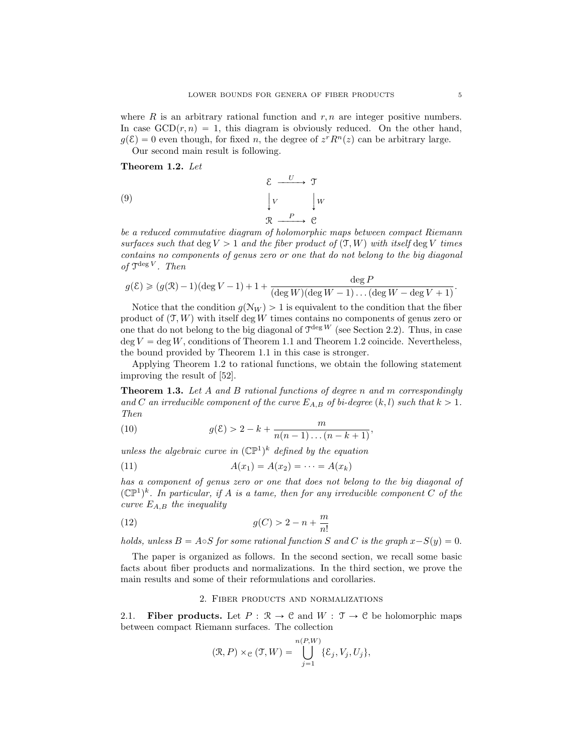where  $R$  is an arbitrary rational function and  $r, n$  are integer positive numbers. In case  $GCD(r, n) = 1$ , this diagram is obviously reduced. On the other hand,  $g(\mathcal{E}) = 0$  even though, for fixed n, the degree of  $z^r R^n(z)$  can be arbitrary large.

Our second main result is following.

Theorem 1.2. Let

(9) 
$$
\begin{array}{ccc}\n & \mathcal{E} & \xrightarrow{U} & \mathcal{T} \\
\downarrow V & \downarrow W \\
\mathcal{R} & \xrightarrow{P} & \mathcal{C}\n\end{array}
$$

be a reduced commutative diagram of holomorphic maps between compact Riemann surfaces such that deg  $V > 1$  and the fiber product of  $(T, W)$  with itself deg V times contains no components of genus zero or one that do not belong to the big diagonal of  $\mathfrak{I}^{\deg V}$ . Then

$$
g(\mathcal{E}) \geq (g(\mathcal{R})-1)(\deg V - 1) + 1 + \frac{\deg P}{(\deg W)(\deg W - 1)\dots(\deg W - \deg V + 1)}.
$$

Notice that the condition  $g(N_W) > 1$  is equivalent to the condition that the fiber product of  $(\mathcal{T}, W)$  with itself deg W times contains no components of genus zero or one that do not belong to the big diagonal of  $\mathcal{T}^{\text{deg }W}$  (see Section 2.2). Thus, in case  $\deg V = \deg W$ , conditions of Theorem 1.1 and Theorem 1.2 coincide. Nevertheless, the bound provided by Theorem 1.1 in this case is stronger.

Applying Theorem 1.2 to rational functions, we obtain the following statement improving the result of [52].

**Theorem 1.3.** Let A and B rational functions of degree n and m correspondingly and C an irreducible component of the curve  $E_{A,B}$  of bi-degree  $(k, l)$  such that  $k > 1$ . Then

(10) 
$$
g(\mathcal{E}) > 2 - k + \frac{m}{n(n-1)...(n-k+1)},
$$

unless the algebraic curve in  $(\mathbb{CP}^1)^k$  defined by the equation

(11) 
$$
A(x_1) = A(x_2) = \cdots = A(x_k)
$$

has a component of genus zero or one that does not belong to the big diagonal of  $(\mathbb{CP}^1)^k$ . In particular, if A is a tame, then for any irreducible component C of the curve  $E_{A,B}$  the inequality

(12) 
$$
g(C) > 2 - n + \frac{m}{n!}
$$

holds, unless  $B = A \circ S$  for some rational function S and C is the graph  $x-S(y) = 0$ .

The paper is organized as follows. In the second section, we recall some basic facts about fiber products and normalizations. In the third section, we prove the main results and some of their reformulations and corollaries.

# 2. Fiber products and normalizations

2.1. Fiber products. Let  $P : \mathbb{R} \to \mathbb{C}$  and  $W : \mathbb{T} \to \mathbb{C}$  be holomorphic maps between compact Riemann surfaces. The collection

$$
(\mathcal{R}, P) \times_{\mathcal{C}} (\mathcal{T}, W) = \bigcup_{j=1}^{n(P,W)} \{\mathcal{E}_j, V_j, U_j\},\
$$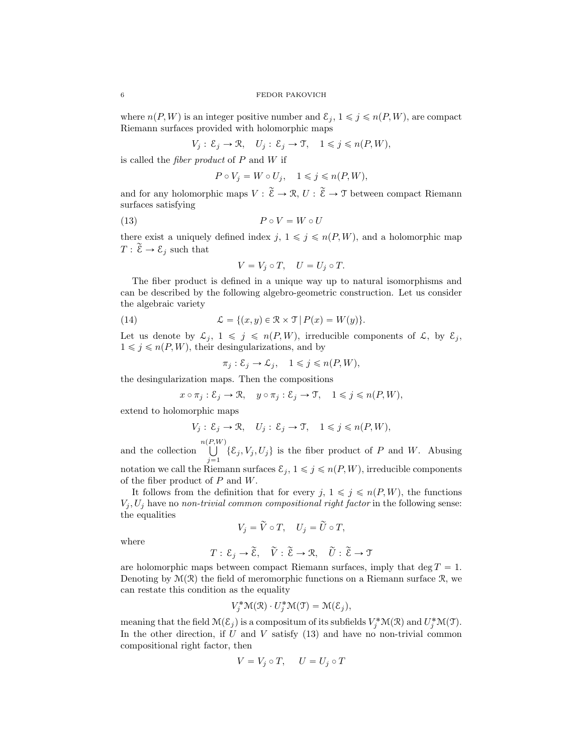where  $n(P, W)$  is an integer positive number and  $\mathcal{E}_i, 1 \leq j \leq n(P, W)$ , are compact Riemann surfaces provided with holomorphic maps

$$
V_j: \mathcal{E}_j \to \mathcal{R}, \quad U_j: \mathcal{E}_j \to \mathcal{T}, \quad 1 \leq j \leq n(P, W),
$$

is called the fiber product of P and W if

$$
P \circ V_j = W \circ U_j, \quad 1 \le j \le n(P, W),
$$

and for any holomorphic maps  $V : \widetilde{\mathcal{E}} \to \mathcal{R}, U : \widetilde{\mathcal{E}} \to \mathcal{T}$  between compact Riemann surfaces satisfying

$$
(13) \t\t P \circ V = W \circ U
$$

there exist a uniquely defined index  $j, 1 \leq j \leq n(P, W)$ , and a holomorphic map  $T: \widetilde{\mathcal{E}} \to \mathcal{E}_j$  such that

$$
V = V_j \circ T, \quad U = U_j \circ T.
$$

The fiber product is defined in a unique way up to natural isomorphisms and can be described by the following algebro-geometric construction. Let us consider the algebraic variety

(14) 
$$
\mathcal{L} = \{(x, y) \in \mathbb{R} \times \mathcal{T} | P(x) = W(y) \}.
$$

Let us denote by  $\mathcal{L}_j$ ,  $1 \leq j \leq n(P, W)$ , irreducible components of  $\mathcal{L}$ , by  $\mathcal{E}_j$ ,  $1\leqslant j\leqslant n(P, W),$  their desingularizations, and by

$$
\pi_j: \mathcal{E}_j \to \mathcal{L}_j, \quad 1 \leqslant j \leqslant n(P, W),
$$

the desingularization maps. Then the compositions

$$
x \circ \pi_j : \mathcal{E}_j \to \mathcal{R}, \quad y \circ \pi_j : \mathcal{E}_j \to \mathcal{T}, \quad 1 \leq j \leq n(P, W),
$$

extend to holomorphic maps

$$
V_j: \mathcal{E}_j \to \mathcal{R}, \quad U_j: \mathcal{E}_j \to \mathcal{T}, \quad 1 \le j \le n(P, W),
$$

and the collection  $\bigcup^{n(P,W)}$  $\bigcup_{j=1} {\xi_j, V_j, U_j}$  is the fiber product of P and W. Abusing notation we call the Riemann surfaces  $\mathcal{E}_j$ ,  $1 \leq j \leq n(P, W)$ , irreducible components of the fiber product of  $P$  and  $W$ .

It follows from the definition that for every  $j, 1 \leq j \leq n(P, W)$ , the functions  $V_i, U_j$  have no non-trivial common compositional right factor in the following sense: the equalities

$$
V_j = \widetilde{V} \circ T, \quad U_j = \widetilde{U} \circ T,
$$

where

$$
T: \mathcal{E}_j \to \widetilde{\mathcal{E}}, \quad \widetilde{V}: \widetilde{\mathcal{E}} \to \mathcal{R}, \quad \widetilde{U}: \widetilde{\mathcal{E}} \to \mathcal{T}
$$

are holomorphic maps between compact Riemann surfaces, imply that deg  $T = 1$ . Denoting by  $\mathcal{M}(\mathcal{R})$  the field of meromorphic functions on a Riemann surface  $\mathcal{R}$ , we can restate this condition as the equality

$$
V_j^{\ast} \mathcal{M}(\mathcal{R}) \cdot U_j^{\ast} \mathcal{M}(\mathcal{T}) = \mathcal{M}(\mathcal{E}_j),
$$

meaning that the field  $\mathcal{M}(\mathcal{E}_j)$  is a compositum of its subfields  $V_j^*\mathcal{M}(\mathcal{R})$  and  $U_j^*\mathcal{M}(\mathcal{T})$ . In the other direction, if  $U$  and  $V$  satisfy  $(13)$  and have no non-trivial common compositional right factor, then

$$
V = V_j \circ T, \quad U = U_j \circ T
$$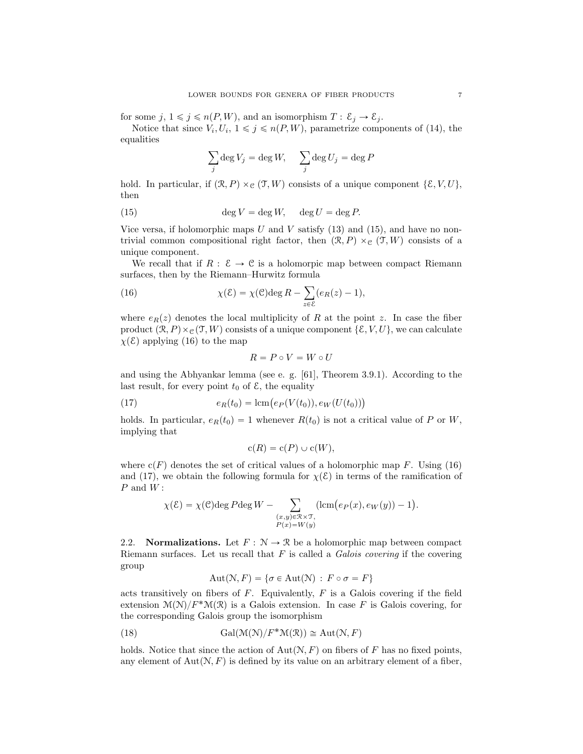for some  $j, 1 \leq j \leq n(P, W)$ , and an isomorphism  $T : \mathcal{E}_j \to \mathcal{E}_j$ .

Notice that since  $V_i, U_i, 1 \leq j \leq n(P, W)$ , parametrize components of (14), the equalities

$$
\sum_{j} \deg V_{j} = \deg W, \quad \sum_{j} \deg U_{j} = \deg P
$$

hold. In particular, if  $(\mathcal{R}, P) \times_{\mathcal{C}} (\mathcal{T}, W)$  consists of a unique component  $\{\mathcal{E}, V, U\},$ then

(15) 
$$
\deg V = \deg W, \quad \deg U = \deg P.
$$

Vice versa, if holomorphic maps U and V satisfy  $(13)$  and  $(15)$ , and have no nontrivial common compositional right factor, then  $(\mathcal{R}, P) \times_{\mathcal{C}} (\mathcal{T}, W)$  consists of a unique component.

We recall that if  $R : \mathcal{E} \to \mathcal{C}$  is a holomorpic map between compact Riemann surfaces, then by the Riemann–Hurwitz formula

(16) 
$$
\chi(\mathcal{E}) = \chi(\mathcal{C}) \deg R - \sum_{z \in \mathcal{E}} (e_R(z) - 1),
$$

where  $e_R(z)$  denotes the local multiplicity of R at the point z. In case the fiber product  $(\mathcal{R}, P) \times_{\mathcal{C}} (\mathcal{T}, W)$  consists of a unique component  $\{\mathcal{E}, V, U\}$ , we can calculate  $\chi(\mathcal{E})$  applying (16) to the map

$$
R = P \circ V = W \circ U
$$

and using the Abhyankar lemma (see e. g. [61], Theorem 3.9.1). According to the last result, for every point  $t_0$  of  $\mathcal{E}$ , the equality

(17) 
$$
e_R(t_0) = \text{lcm}(e_P(V(t_0)), e_W(U(t_0)))
$$

holds. In particular,  $e_R(t_0) = 1$  whenever  $R(t_0)$  is not a critical value of P or W, implying that

$$
c(R) = c(P) \cup c(W),
$$

where  $c(F)$  denotes the set of critical values of a holomorphic map F. Using (16) and (17), we obtain the following formula for  $\chi(\mathcal{E})$  in terms of the ramification of  $P$  and  $W$  :

$$
\chi(\mathcal{E}) = \chi(\mathcal{C}) \deg P \deg W - \sum_{\substack{(x,y)\in \mathcal{R}\times \mathcal{T},\\P(x)=W(y)}} (\operatorname{lcm}(e_P(x), e_W(y))-1).
$$

2.2. **Normalizations.** Let  $F : \mathbb{N} \to \mathbb{R}$  be a holomorphic map between compact Riemann surfaces. Let us recall that  $F$  is called a *Galois covering* if the covering group

$$
Aut(N, F) = \{ \sigma \in Aut(N) : F \circ \sigma = F \}
$$

acts transitively on fibers of  $F$ . Equivalently,  $F$  is a Galois covering if the field extension  $\mathcal{M}(\mathcal{N})/F^*\mathcal{M}(\mathcal{R})$  is a Galois extension. In case F is Galois covering, for the corresponding Galois group the isomorphism

(18) 
$$
\text{Gal}(\mathcal{M}(\mathcal{N})/F^*\mathcal{M}(\mathcal{R})) \cong \text{Aut}(\mathcal{N}, F)
$$

holds. Notice that since the action of  $Aut(N, F)$  on fibers of F has no fixed points, any element of  $Aut(N, F)$  is defined by its value on an arbitrary element of a fiber,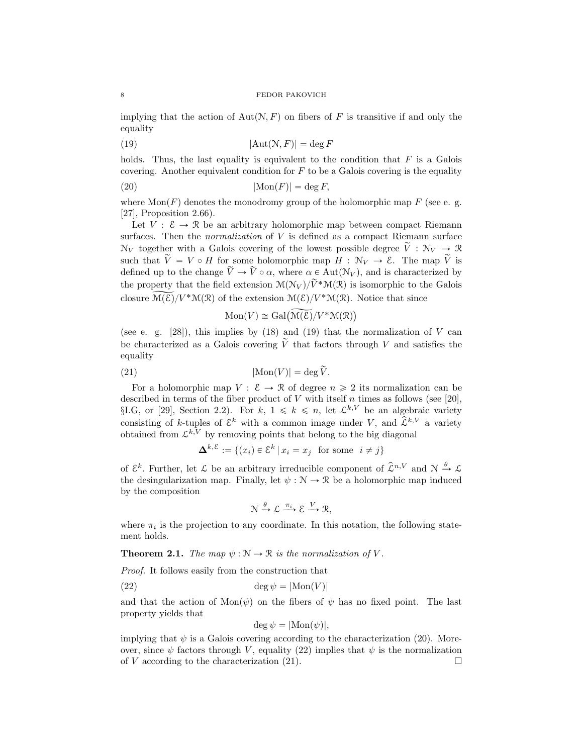implying that the action of Aut $(N, F)$  on fibers of F is transitive if and only the equality

$$
(19) \t\t\t |Aut(\mathcal{N}, F)| = \deg F
$$

holds. Thus, the last equality is equivalent to the condition that  $F$  is a Galois covering. Another equivalent condition for  $F$  to be a Galois covering is the equality

$$
|\text{Mon}(F)| = \deg F,
$$

where  $Mon(F)$  denotes the monodromy group of the holomorphic map F (see e. g. [27], Proposition 2.66).

Let  $V: \mathcal{E} \to \mathcal{R}$  be an arbitrary holomorphic map between compact Riemann surfaces. Then the *normalization* of  $V$  is defined as a compact Riemann surface  $N_V$  together with a Galois covering of the lowest possible degree  $\tilde{V}: N_V \to \mathcal{R}$ such that  $\tilde{V} = V \circ H$  for some holomorphic map  $H : \mathcal{N}_V \to \mathcal{E}$ . The map  $\tilde{V}$  is defined up to the change  $\widetilde{V} \rightarrow \widetilde{V} \circ \alpha$ , where  $\alpha \in \text{Aut}(\mathcal{N}_V)$ , and is characterized by the property that the field extension  $\mathcal{M}(\mathcal{N}_V)/\widetilde{V}^*\mathcal{M}(\mathcal{R})$  is isomorphic to the Galois closure  $\widetilde{\mathcal{M}(\mathcal{E})}/V^*\mathcal{M}(\mathcal{R})$  of the extension  $\mathcal{M}(\mathcal{E})/V^*\mathcal{M}(\mathcal{R})$ . Notice that since

$$
\text{Mon}(V) \cong \text{Gal}(\widetilde{\mathcal{M}(\mathcal{E})}/V^*\mathcal{M}(\mathcal{R}))
$$

(see e. g.  $[28]$ ), this implies by  $(18)$  and  $(19)$  that the normalization of V can be characterized as a Galois covering  $\tilde{V}$  that factors through V and satisfies the equality

(21) 
$$
|\text{Mon}(V)| = \deg \widetilde{V}.
$$

For a holomorphic map  $V: \mathcal{E} \to \mathcal{R}$  of degree  $n \geq 2$  its normalization can be described in terms of the fiber product of V with itself n times as follows (see [20],  $\S I.G,$  or [29], Section 2.2). For  $k, 1 \leq k \leq n$ , let  $\mathcal{L}^{k,V}$  be an algebraic variety consisting of k-tuples of  $\mathcal{E}^k$  with a common image under V, and  $\hat{\mathcal{L}}^{k,V}$  a variety obtained from  $\mathcal{L}^{k,V}$  by removing points that belong to the big diagonal

$$
\mathbf{\Delta}^{k,\varepsilon} := \{ (x_i) \in \varepsilon^k \, | \, x_i = x_j \text{ for some } i \neq j \}
$$

of  $\mathcal{E}^k$ . Further, let  $\mathcal{L}$  be an arbitrary irreducible component of  $\hat{\mathcal{L}}^{n,V}$  and  $\mathcal{N} \stackrel{\theta}{\rightarrow} \mathcal{L}$ the desingularization map. Finally, let  $\psi : \mathcal{N} \to \mathcal{R}$  be a holomorphic map induced by the composition

$$
\mathcal{N} \xrightarrow{\theta} \mathcal{L} \xrightarrow{\pi_i} \mathcal{E} \xrightarrow{V} \mathcal{R},
$$

where  $\pi_i$  is the projection to any coordinate. In this notation, the following statement holds.

**Theorem 2.1.** The map  $\psi : \mathbb{N} \to \mathbb{R}$  is the normalization of V.

Proof. It follows easily from the construction that

$$
(22) \t\t \t\t deg \psi = |\text{Mon}(V)|
$$

and that the action of  $Mon(\psi)$  on the fibers of  $\psi$  has no fixed point. The last property yields that

$$
\deg \psi = |\text{Mon}(\psi)|,
$$

implying that  $\psi$  is a Galois covering according to the characterization (20). Moreover, since  $\psi$  factors through V, equality (22) implies that  $\psi$  is the normalization of V according to the characterization (21).  $\Box$ 

$$
8 \\
$$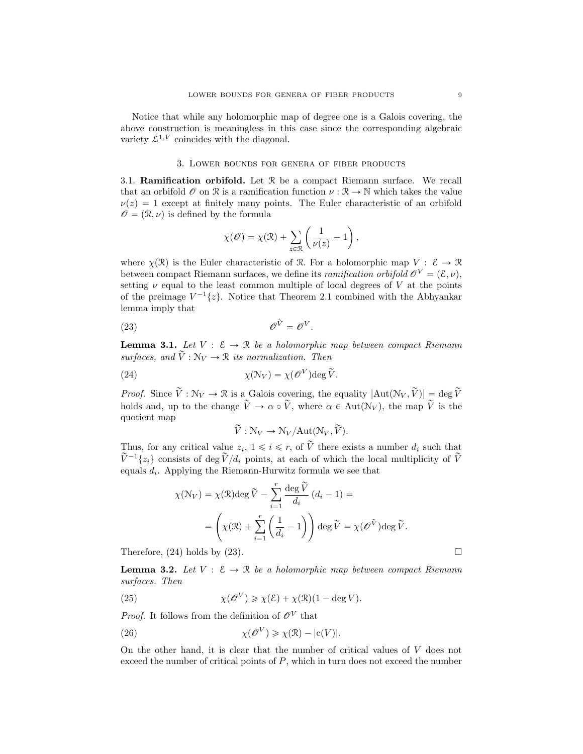Notice that while any holomorphic map of degree one is a Galois covering, the above construction is meaningless in this case since the corresponding algebraic variety  $\mathcal{L}^{1,V}$  coincides with the diagonal.

# 3. Lower bounds for genera of fiber products

3.1. Ramification orbifold. Let R be a compact Riemann surface. We recall that an orbifold  $\mathcal O$  on  $\mathcal R$  is a ramification function  $\nu : \mathcal R \to \mathbb N$  which takes the value  $\nu(z) = 1$  except at finitely many points. The Euler characteristic of an orbifold  $\mathscr{O} = (\mathcal{R}, \nu)$  is defined by the formula

$$
\chi(\mathscr{O}) = \chi(\mathfrak{R}) + \sum_{z \in \mathfrak{R}} \left( \frac{1}{\nu(z)} - 1 \right),
$$

where  $\chi(\mathcal{R})$  is the Euler characteristic of R. For a holomorphic map  $V : \mathcal{E} \to \mathcal{R}$ between compact Riemann surfaces, we define its *ramification orbifold*  $\mathcal{O}^V = (\mathcal{E}, \nu)$ , setting  $\nu$  equal to the least common multiple of local degrees of V at the points of the preimage  $V^{-1}{z}$ . Notice that Theorem 2.1 combined with the Abhyankar lemma imply that

$$
\widehat{\mathscr{O}}^{\widetilde{V}} = \widehat{\mathscr{O}}^V.
$$

**Lemma 3.1.** Let  $V : \mathcal{E} \to \mathbb{R}$  be a holomorphic map between compact Riemann surfaces, and  $\tilde{V}: \mathbb{N}_V \to \mathbb{R}$  its normalization. Then

(24) 
$$
\chi(\mathcal{N}_V) = \chi(\mathscr{O}^V) \deg \widetilde{V}.
$$

*Proof.* Since  $\widetilde{V}: \mathcal{N}_V \to \mathcal{R}$  is a Galois covering, the equality  $|\text{Aut}(\mathcal{N}_V, \widetilde{V})| = \deg \widetilde{V}$ holds and, up to the change  $\tilde{V} \rightarrow \alpha \circ \tilde{V}$ , where  $\alpha \in Aut(\mathcal{N}_V)$ , the map  $\tilde{V}$  is the quotient map

$$
\widetilde{V}: \mathcal{N}_V \to \mathcal{N}_V/\text{Aut}(\mathcal{N}_V, \widetilde{V}).
$$

Thus, for any critical value  $z_i$ ,  $1 \leq i \leq r$ , of  $\widetilde{V}$  there exists a number  $d_i$  such that  $\widetilde{V}^{-1}\{z_i\}$  consists of deg  $\widetilde{V}/d_i$  points, at each of which the local multiplicity of  $\widetilde{V}$ equals  $d_i$ . Applying the Riemann-Hurwitz formula we see that

$$
\chi(\mathcal{N}_V) = \chi(\mathcal{R}) \deg \widetilde{V} - \sum_{i=1}^r \frac{\deg \widetilde{V}}{d_i} (d_i - 1) =
$$
  
=  $\left(\chi(\mathcal{R}) + \sum_{i=1}^r \left(\frac{1}{d_i} - 1\right)\right) \deg \widetilde{V} = \chi(\mathcal{O}^{\widetilde{V}}) \deg \widetilde{V}.$ 

Therefore,  $(24)$  holds by  $(23)$ .

**Lemma 3.2.** Let  $V : \mathcal{E} \to \mathcal{R}$  be a holomorphic map between compact Riemann surfaces. Then

(25) 
$$
\chi(\mathcal{O}^V) \ge \chi(\mathcal{E}) + \chi(\mathcal{R})(1 - \deg V).
$$

*Proof.* It follows from the definition of  $\mathscr{O}^V$  that

(26) 
$$
\chi(\mathcal{O}^V) \geq \chi(\mathcal{R}) - |c(V)|.
$$

On the other hand, it is clear that the number of critical values of V does not exceed the number of critical points of P, which in turn does not exceed the number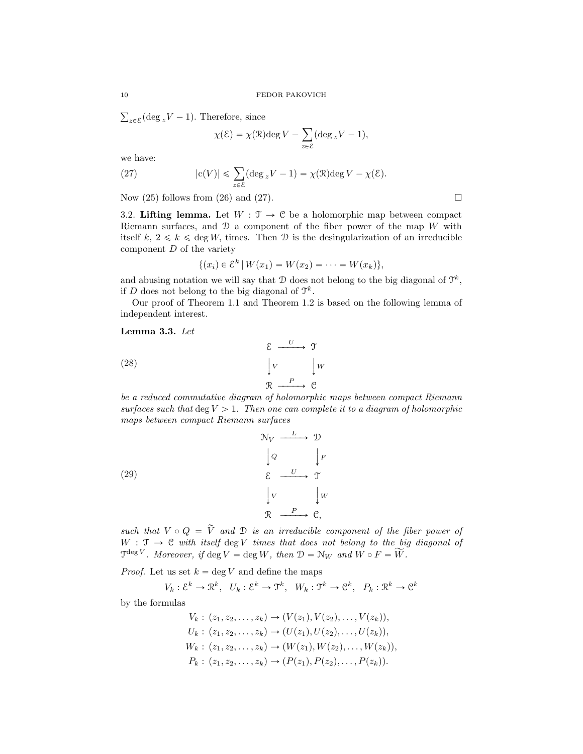$_{z\in\mathcal{E}}$  (deg  $_zV - 1$ ). Therefore, since

$$
\chi(\mathcal{E}) = \chi(\mathcal{R}) \deg V - \sum_{z \in \mathcal{E}} (\deg_z V - 1),
$$

we have:

(27) 
$$
|c(V)| \leq \sum_{z \in \mathcal{E}} (\deg_z V - 1) = \chi(\mathcal{R}) \deg V - \chi(\mathcal{E}).
$$

Now  $(25)$  follows from  $(26)$  and  $(27)$ .

3.2. Lifting lemma. Let  $W : \mathcal{T} \to \mathcal{C}$  be a holomorphic map between compact Riemann surfaces, and  $\mathcal D$  a component of the fiber power of the map W with itself k,  $2 \le k \le \text{deg } W$ , times. Then D is the desingularization of an irreducible component  $D$  of the variety

$$
\{(x_i) \in \mathcal{E}^k \mid W(x_1) = W(x_2) = \cdots = W(x_k)\},\
$$

and abusing notation we will say that  $D$  does not belong to the big diagonal of  $\mathfrak{T}^k$ , if D does not belong to the big diagonal of  $\mathfrak{T}^k$ .

Our proof of Theorem 1.1 and Theorem 1.2 is based on the following lemma of independent interest.

Lemma 3.3. Let

(28) 
$$
\begin{array}{c}\n \xi \xrightarrow{U} \mathcal{T} \\
 \downarrow V \\
 \mathcal{R} \xrightarrow{P} \mathcal{C}\n \end{array}
$$

be a reduced commutative diagram of holomorphic maps between compact Riemann surfaces such that deg  $V > 1$ . Then one can complete it to a diagram of holomorphic maps between compact Riemann surfaces

(29)  
\n
$$
\begin{array}{ccc}\n & \mathcal{N}_V & \xrightarrow{L} & \mathcal{D} \\
 & \downarrow{Q} & & \downarrow{F} \\
 & \mathcal{E} & \xrightarrow{U} & \mathcal{T} \\
 & \downarrow{V} & & \downarrow{W} \\
 & \mathcal{R} & \xrightarrow{P} & \mathcal{C},\n\end{array}
$$

such that  $V \circ Q = \tilde{V}$  and  $D$  is an irreducible component of the fiber power of  $W : \mathcal{T} \to \mathcal{C}$  with itself deg V times that does not belong to the big diagonal of  $\mathfrak{T}^{\deg V}$ . Moreover, if  $\deg V = \deg W$ , then  $\mathfrak{D} = \mathcal{N}_W$  and  $W \circ F = \widetilde{W}$ .

*Proof.* Let us set  $k = \deg V$  and define the maps

$$
V_k: \mathcal{E}^k \to \mathcal{R}^k
$$
,  $U_k: \mathcal{E}^k \to \mathcal{T}^k$ ,  $W_k: \mathcal{T}^k \to \mathcal{C}^k$ ,  $P_k: \mathcal{R}^k \to \mathcal{C}^k$ 

by the formulas

$$
V_k: (z_1, z_2, \dots, z_k) \to (V(z_1), V(z_2), \dots, V(z_k)),
$$
  
\n
$$
U_k: (z_1, z_2, \dots, z_k) \to (U(z_1), U(z_2), \dots, U(z_k)),
$$
  
\n
$$
W_k: (z_1, z_2, \dots, z_k) \to (W(z_1), W(z_2), \dots, W(z_k)),
$$
  
\n
$$
P_k: (z_1, z_2, \dots, z_k) \to (P(z_1), P(z_2), \dots, P(z_k)).
$$

$$
\Box
$$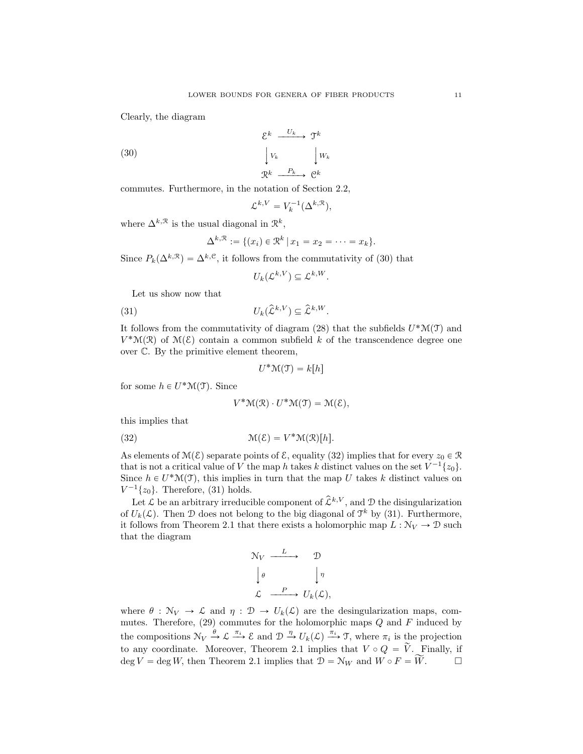Clearly, the diagram

(30)

$$
\begin{array}{ccc}\n\mathcal{E}^k & \xrightarrow{U_k} & \mathfrak{I}^k \\
\downarrow V_k & & \downarrow W_k \\
\mathfrak{R}^k & \xrightarrow{P_k} & \mathfrak{C}^k\n\end{array}
$$

commutes. Furthermore, in the notation of Section 2.2,

$$
\mathcal{L}^{k,V} = V_k^{-1}(\Delta^{k,\mathcal{R}}),
$$

where  $\Delta^{k,\mathcal{R}}$  is the usual diagonal in  $\mathcal{R}^k$ ,

$$
\Delta^{k,\mathcal{R}} := \{ (x_i) \in \mathcal{R}^k \, | \, x_1 = x_2 = \cdots = x_k \}.
$$

Since  $P_k(\Delta^{k,\mathcal{R}}) = \Delta^{k,\mathcal{C}}$ , it follows from the commutativity of (30) that

$$
U_k(\mathcal{L}^{k,V}) \subseteq \mathcal{L}^{k,W}.
$$

Let us show now that

(31)  $U_k(\hat{\mathcal{L}}^{k,V}) \subseteq \hat{\mathcal{L}}^{k,W}$ .

It follows from the commutativity of diagram (28) that the subfields  $U^*\mathcal{M}(\mathcal{T})$  and  $V^{\ast}(\mathfrak{X})$  of  $\mathfrak{M}(\mathcal{E})$  contain a common subfield k of the transcendence degree one over C. By the primitive element theorem,

$$
U^*\mathcal{M}(\mathcal{T})=k[h]
$$

for some  $h \in U^* \mathcal{M}(\mathcal{T})$ . Since

$$
V^*\mathcal{M}(\mathcal{R})\cdot U^*\mathcal{M}(\mathcal{T})=\mathcal{M}(\mathcal{E}),
$$

this implies that

(32) 
$$
\mathcal{M}(\mathcal{E}) = V^* \mathcal{M}(\mathcal{R})[h].
$$

As elements of  $\mathcal{M}(\mathcal{E})$  separate points of  $\mathcal{E}$ , equality (32) implies that for every  $z_0 \in \mathcal{R}$ that is not a critical value of V the map h takes k distinct values on the set  $V^{-1}\lbrace z_0 \rbrace$ . Since  $h \in U^* \mathcal{M}(\mathcal{T})$ , this implies in turn that the map U takes k distinct values on  $V^{-1}\lbrace z_0 \rbrace$ . Therefore, (31) holds.

Let  $\mathcal L$  be an arbitrary irreducible component of  $\hat{\mathcal L}^{k,V}$ , and  $\mathcal D$  the disingularization of  $U_k(\mathcal{L})$ . Then D does not belong to the big diagonal of  $\mathcal{T}^k$  by (31). Furthermore, it follows from Theorem 2.1 that there exists a holomorphic map  $L : N_V \to \mathcal{D}$  such that the diagram

$$
\begin{array}{ccc}\n\mathcal{N}_V & \xrightarrow{L} & \mathcal{D} \\
\downarrow \theta & & \downarrow \eta \\
\mathcal{L} & \xrightarrow{P} & U_k(\mathcal{L}),\n\end{array}
$$

where  $\theta : \mathcal{N}_V \to \mathcal{L}$  and  $\eta : \mathcal{D} \to U_k(\mathcal{L})$  are the desingularization maps, commutes. Therefore,  $(29)$  commutes for the holomorphic maps  $Q$  and  $F$  induced by the compositions  $\mathcal{N}_V \xrightarrow{\theta} \mathcal{L} \xrightarrow{\pi_i} \mathcal{E}$  and  $\mathcal{D} \xrightarrow{\eta} U_k(\mathcal{L}) \xrightarrow{\pi_i} \mathcal{T}$ , where  $\pi_i$  is the projection to any coordinate. Moreover, Theorem 2.1 implies that  $V \circ Q = \tilde{V}$ . Finally, if deg  $V = \text{deg } W$ , then Theorem 2.1 implies that  $\mathcal{D} = \mathcal{N}_W$  and  $W \circ F = \widetilde{W}$ .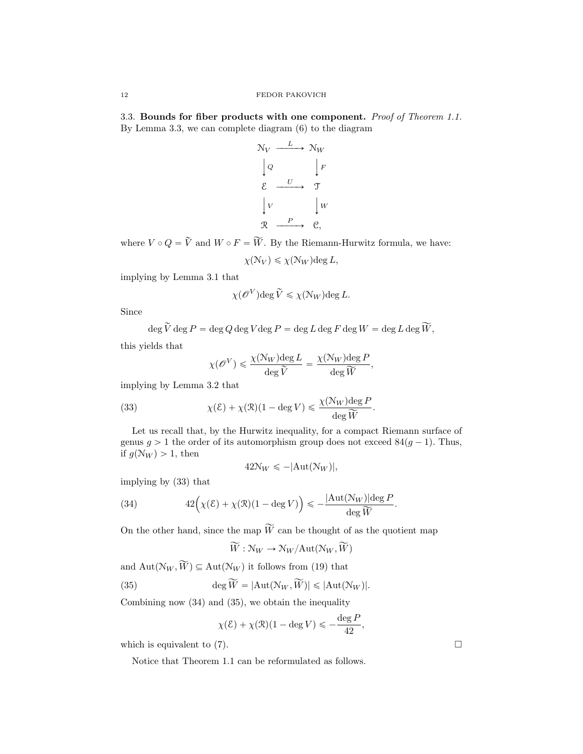3.3. Bounds for fiber products with one component. Proof of Theorem 1.1. By Lemma 3.3, we can complete diagram (6) to the diagram

$$
\begin{array}{ccc}\n\mathcal{N}_V & \xrightarrow{L} & \mathcal{N}_W \\
\downarrow Q & & \downarrow F \\
\mathcal{E} & \xrightarrow{U} & \mathcal{T} \\
\downarrow V & & \downarrow W \\
\mathcal{R} & \xrightarrow{P} & \mathcal{C},\n\end{array}
$$

where  $V \circ Q = \widetilde{V}$  and  $W \circ F = \widetilde{W}$ . By the Riemann-Hurwitz formula, we have:

 $\chi(\mathcal{N}_V) \leq \chi(\mathcal{N}_W) \text{deg } L,$ 

implying by Lemma 3.1 that

$$
\chi(\mathscr{O}^V)\text{deg}\,\widetilde{V}\leqslant\chi(\mathcal{N}_W)\text{deg}\,L.
$$

Since

$$
\deg \widetilde{V} \deg P = \deg Q \deg V \deg P = \deg L \deg F \deg W = \deg L \deg \widetilde{W},
$$

this yields that

$$
\chi(\mathscr{O}^V) \leqslant \frac{\chi(\mathcal{N}_W) \text{deg } L}{\text{deg }\tilde{V}} = \frac{\chi(\mathcal{N}_W) \text{deg } P}{\text{deg }\tilde{W}},
$$

implying by Lemma 3.2 that

(33) 
$$
\chi(\mathcal{E}) + \chi(\mathcal{R})(1 - \deg V) \leq \frac{\chi(\mathcal{N}_W) \deg P}{\deg \widetilde{W}}.
$$

Let us recall that, by the Hurwitz inequality, for a compact Riemann surface of genus  $g > 1$  the order of its automorphism group does not exceed  $84(g - 1)$ . Thus, if  $g(N_W) > 1$ , then

$$
42N_W \le -|\text{Aut}(\mathcal{N}_W)|,
$$

implying by (33) that

(34) 
$$
42\Big(\chi(\mathcal{E}) + \chi(\mathcal{R})(1-\deg V)\Big) \leqslant -\frac{|\mathrm{Aut}(\mathcal{N}_W)|\deg P}{\deg \widetilde{W}}.
$$

On the other hand, since the map  $\widetilde{W}$  can be thought of as the quotient map

$$
\widetilde{W}: \mathcal{N}_W \to \mathcal{N}_W/\text{Aut}(\mathcal{N}_W, \widetilde{W})
$$

and  $Aut(\mathcal{N}_W, \widetilde{W}) \subseteq Aut(\mathcal{N}_W)$  it follows from (19) that

(35) 
$$
\deg \widetilde{W} = |\text{Aut}(\mathcal{N}_W, \widetilde{W})| \leq |\text{Aut}(\mathcal{N}_W)|.
$$

Combining now (34) and (35), we obtain the inequality

$$
\chi(\mathcal{E}) + \chi(\mathcal{R})(1 - \deg V) \leqslant -\frac{\deg P}{42}
$$

,

which is equivalent to  $(7)$ .

Notice that Theorem 1.1 can be reformulated as follows.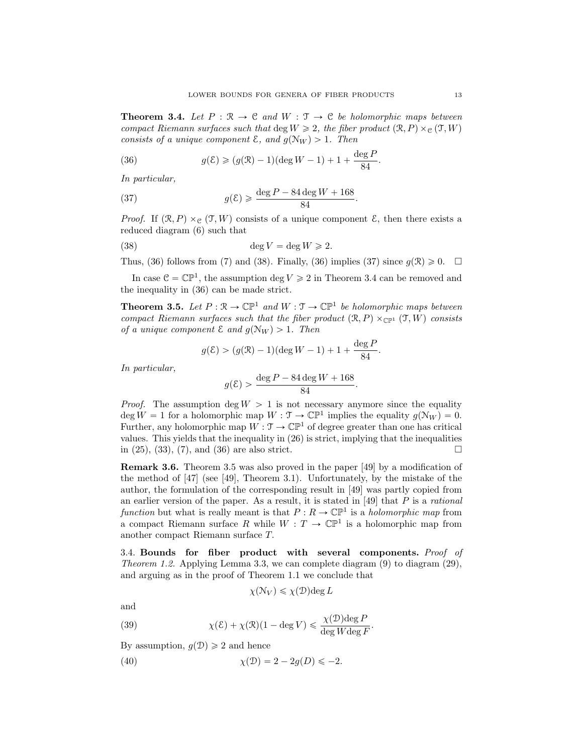**Theorem 3.4.** Let  $P : \mathbb{R} \to \mathbb{C}$  and  $W : \mathbb{T} \to \mathbb{C}$  be holomorphic maps between compact Riemann surfaces such that deg  $W \geq 2$ , the fiber product  $(\mathcal{R}, P) \times_{\mathcal{C}} (\mathcal{T}, W)$ consists of a unique component  $\mathcal{E}$ , and  $g(\mathcal{N}_W) > 1$ . Then

(36) 
$$
g(\mathcal{E}) \ge (g(\mathcal{R}) - 1)(\deg W - 1) + 1 + \frac{\deg P}{84}.
$$

In particular,

(37) 
$$
g(\mathcal{E}) \geq \frac{\deg P - 84 \deg W + 168}{84}.
$$

*Proof.* If  $(\mathcal{R}, P) \times_{\mathcal{C}} (\mathcal{T}, W)$  consists of a unique component  $\mathcal{E}$ , then there exists a reduced diagram (6) such that

(38) 
$$
\deg V = \deg W \geqslant 2.
$$

Thus, (36) follows from (7) and (38). Finally, (36) implies (37) since  $q(\mathcal{R}) \geq 0$ .  $\Box$ 

In case  $\mathcal{C} = \mathbb{CP}^1$ , the assumption deg  $V \ge 2$  in Theorem 3.4 can be removed and the inequality in (36) can be made strict.

**Theorem 3.5.** Let  $P : \mathbb{R} \to \mathbb{CP}^1$  and  $W : \mathbb{T} \to \mathbb{CP}^1$  be holomorphic maps between compact Riemann surfaces such that the fiber product  $(\mathcal{R}, P) \times_{\mathbb{CP}^1} (\mathcal{T}, W)$  consists of a unique component  $\mathcal E$  and  $g(\mathcal N_W) > 1$ . Then

$$
g(\mathcal{E}) > (g(\mathcal{R}) - 1)(\deg W - 1) + 1 + \frac{\deg P}{84}.
$$

In particular,

$$
g(\mathcal{E}) > \frac{\deg P - 84 \deg W + 168}{84}.
$$

*Proof.* The assumption deg  $W > 1$  is not necessary anymore since the equality deg  $W = 1$  for a holomorphic map  $W : \mathfrak{T} \to \mathbb{CP}^1$  implies the equality  $g(\mathcal{N}_W) = 0$ . Further, any holomorphic map  $W : \mathcal{T} \to \mathbb{CP}^1$  of degree greater than one has critical values. This yields that the inequality in (26) is strict, implying that the inequalities in  $(25)$ ,  $(33)$ ,  $(7)$ , and  $(36)$  are also strict. □

Remark 3.6. Theorem 3.5 was also proved in the paper [49] by a modification of the method of [47] (see [49], Theorem 3.1). Unfortunately, by the mistake of the author, the formulation of the corresponding result in [49] was partly copied from an earlier version of the paper. As a result, it is stated in  $[49]$  that  $P$  is a *rational* function but what is really meant is that  $P: R \to \mathbb{CP}^1$  is a holomorphic map from a compact Riemann surface R while  $W: T \to \mathbb{CP}^1$  is a holomorphic map from another compact Riemann surface T.

3.4. Bounds for fiber product with several components. Proof of Theorem 1.2. Applying Lemma 3.3, we can complete diagram  $(9)$  to diagram  $(29)$ , and arguing as in the proof of Theorem 1.1 we conclude that

$$
\chi(\mathcal{N}_V) \le \chi(\mathcal{D}) \deg L
$$

and

(39) 
$$
\chi(\mathcal{E}) + \chi(\mathcal{R})(1 - \deg V) \leq \frac{\chi(\mathcal{D}) \deg P}{\deg W \deg F}.
$$

By assumption,  $q(\mathcal{D}) \geq 2$  and hence

(40) 
$$
\chi(\mathcal{D}) = 2 - 2g(D) \le -2.
$$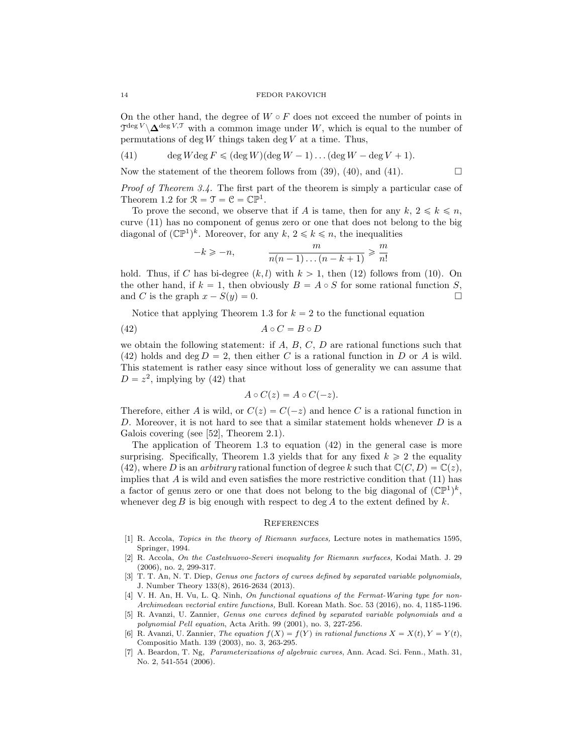On the other hand, the degree of  $W \circ F$  does not exceed the number of points in  $\mathcal{T}^{\deg V} \backslash \mathbf{\Delta}^{\deg V,\mathcal{T}}$  with a common image under W, which is equal to the number of permutations of  $\deg W$  things taken  $\deg V$  at a time. Thus,

(41) deg  $W \deg F \leqslant (\deg W)(\deg W - 1) \dots (\deg W - \deg V + 1)$ .

Now the statement of the theorem follows from (39), (40), and (41).  $\Box$ 

Proof of Theorem 3.4. The first part of the theorem is simply a particular case of Theorem 1.2 for  $\mathcal{R} = \mathcal{T} = \mathcal{C} = \mathbb{CP}^1$ .

To prove the second, we observe that if A is tame, then for any  $k, 2 \leq k \leq n$ , curve (11) has no component of genus zero or one that does not belong to the big diagonal of  $(\mathbb{CP}^1)^k$ . Moreover, for any  $k, 2 \leq k \leq n$ , the inequalities

$$
-k \geqslant -n, \qquad \qquad \frac{m}{n(n-1)\dots(n-k+1)} \geqslant \frac{m}{n!}
$$

hold. Thus, if C has bi-degree  $(k, l)$  with  $k > 1$ , then (12) follows from (10). On the other hand, if  $k = 1$ , then obviously  $B = A \circ S$  for some rational function S, and C is the graph  $x - S(y) = 0$ .

Notice that applying Theorem 1.3 for  $k = 2$  to the functional equation

$$
(42) \t\t\t A \circ C = B \circ D
$$

we obtain the following statement: if  $A, B, C, D$  are rational functions such that (42) holds and deg  $D = 2$ , then either C is a rational function in D or A is wild. This statement is rather easy since without loss of generality we can assume that  $D = z^2$ , implying by (42) that

$$
A\circ C(z)=A\circ C(-z).
$$

Therefore, either A is wild, or  $C(z) = C(-z)$  and hence C is a rational function in  $D$ . Moreover, it is not hard to see that a similar statement holds whenever  $D$  is a Galois covering (see [52], Theorem 2.1).

The application of Theorem 1.3 to equation (42) in the general case is more surprising. Specifically, Theorem 1.3 yields that for any fixed  $k \geq 2$  the equality (42), where D is an arbitrary rational function of degree k such that  $\mathbb{C}(C, D) = \mathbb{C}(z)$ , implies that A is wild and even satisfies the more restrictive condition that  $(11)$  has a factor of genus zero or one that does not belong to the big diagonal of  $(\mathbb{CP}^1)^k$ , whenever deg B is big enough with respect to deg A to the extent defined by  $k$ .

## **REFERENCES**

- [1] R. Accola, Topics in the theory of Riemann surfaces, Lecture notes in mathematics 1595, Springer, 1994.
- [2] R. Accola, On the Castelnuovo-Severi inequality for Riemann surfaces, Kodai Math. J. 29 (2006), no. 2, 299-317.
- [3] T. T. An, N. T. Diep, *Genus one factors of curves defined by separated variable polynomials,* J. Number Theory 133(8), 2616-2634 (2013).
- [4] V. H. An, H. Vu, L. Q. Ninh, On functional equations of the Fermat-Waring type for non-Archimedean vectorial entire functions, Bull. Korean Math. Soc. 53 (2016), no. 4, 1185-1196.
- [5] R. Avanzi, U. Zannier, Genus one curves defined by separated variable polynomials and a polynomial Pell equation, Acta Arith. 99 (2001), no. 3, 227-256.
- [6] R. Avanzi, U. Zannier, The equation  $f(X) = f(Y)$  in rational functions  $X = X(t), Y = Y(t)$ , Compositio Math. 139 (2003), no. 3, 263-295.
- [7] A. Beardon, T. Ng, Parameterizations of algebraic curves, Ann. Acad. Sci. Fenn., Math. 31, No. 2, 541-554 (2006).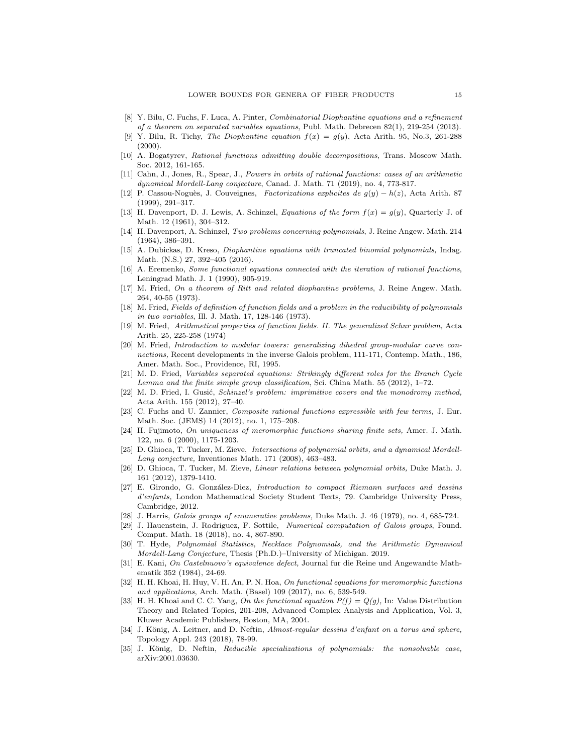- [8] Y. Bilu, C. Fuchs, F. Luca, A. Pinter, Combinatorial Diophantine equations and a refinement of a theorem on separated variables equations, Publ. Math. Debrecen 82(1), 219-254 (2013).
- [9] Y. Bilu, R. Tichy, The Diophantine equation  $f(x) = g(y)$ , Acta Arith. 95, No.3, 261-288 (2000).
- [10] A. Bogatyrev, Rational functions admitting double decompositions, Trans. Moscow Math. Soc. 2012, 161-165.
- [11] Cahn, J., Jones, R., Spear, J., Powers in orbits of rational functions: cases of an arithmetic dynamical Mordell-Lang conjecture, Canad. J. Math. 71 (2019), no. 4, 773-817.
- [12] P. Cassou-Noguès, J. Couveignes, Factorizations explicites de  $g(y) h(z)$ , Acta Arith. 87 (1999), 291–317.
- [13] H. Davenport, D. J. Lewis, A. Schinzel, Equations of the form  $f(x) = g(y)$ , Quarterly J. of Math. 12 (1961), 304–312.
- [14] H. Davenport, A. Schinzel, Two problems concerning polynomials, J. Reine Angew. Math. 214 (1964), 386–391.
- [15] A. Dubickas, D. Kreso, Diophantine equations with truncated binomial polynomials, Indag. Math. (N.S.) 27, 392–405 (2016).
- [16] A. Eremenko, Some functional equations connected with the iteration of rational functions, Leningrad Math. J. 1 (1990), 905-919.
- [17] M. Fried, On a theorem of Ritt and related diophantine problems, J. Reine Angew. Math. 264, 40-55 (1973).
- [18] M. Fried, Fields of definition of function fields and a problem in the reducibility of polynomials in two variables, Ill. J. Math. 17, 128-146 (1973).
- [19] M. Fried, Arithmetical properties of function fields. II. The generalized Schur problem, Acta Arith. 25, 225-258 (1974)
- [20] M. Fried, Introduction to modular towers: generalizing dihedral group-modular curve connections, Recent developments in the inverse Galois problem, 111-171, Contemp. Math., 186, Amer. Math. Soc., Providence, RI, 1995.
- [21] M. D. Fried, Variables separated equations: Strikingly different roles for the Branch Cycle Lemma and the finite simple group classification, Sci. China Math. 55 (2012), 1–72.
- [22] M. D. Fried, I. Gusić, Schinzel's problem: imprimitive covers and the monodromy method, Acta Arith. 155 (2012), 27–40.
- [23] C. Fuchs and U. Zannier, Composite rational functions expressible with few terms, J. Eur. Math. Soc. (JEMS) 14 (2012), no. 1, 175–208.
- [24] H. Fujimoto, On uniqueness of meromorphic functions sharing finite sets, Amer. J. Math. 122, no. 6 (2000), 1175-1203.
- [25] D. Ghioca, T. Tucker, M. Zieve, Intersections of polynomial orbits, and a dynamical Mordell-Lang conjecture, Inventiones Math. 171 (2008), 463–483.
- [26] D. Ghioca, T. Tucker, M. Zieve, Linear relations between polynomial orbits, Duke Math. J. 161 (2012), 1379-1410.
- [27] E. Girondo, G. González-Diez, Introduction to compact Riemann surfaces and dessins d'enfants, London Mathematical Society Student Texts, 79. Cambridge University Press, Cambridge, 2012.
- [28] J. Harris, Galois groups of enumerative problems, Duke Math. J. 46 (1979), no. 4, 685-724.
- [29] J. Hauenstein, J. Rodriguez, F. Sottile, Numerical computation of Galois groups, Found. Comput. Math. 18 (2018), no. 4, 867-890.
- [30] T. Hyde, Polynomial Statistics, Necklace Polynomials, and the Arithmetic Dynamical Mordell-Lang Conjecture, Thesis (Ph.D.)–University of Michigan. 2019.
- [31] E. Kani, On Castelnuovo's equivalence defect, Journal fur die Reine und Angewandte Mathematik 352 (1984), 24-69.
- [32] H. H. Khoai, H. Huy, V. H. An, P. N. Hoa, On functional equations for meromorphic functions and applications, Arch. Math. (Basel) 109 (2017), no. 6, 539-549.
- [33] H. H. Khoai and C. C. Yang, On the functional equation  $P(f) = Q(g)$ , In: Value Distribution Theory and Related Topics, 201-208, Advanced Complex Analysis and Application, Vol. 3, Kluwer Academic Publishers, Boston, MA, 2004.
- [34] J. König, A. Leitner, and D. Neftin, Almost-regular dessins d'enfant on a torus and sphere, Topology Appl. 243 (2018), 78-99.
- [35] J. König, D. Neftin, Reducible specializations of polynomials: the nonsolvable case, arXiv:2001.03630.